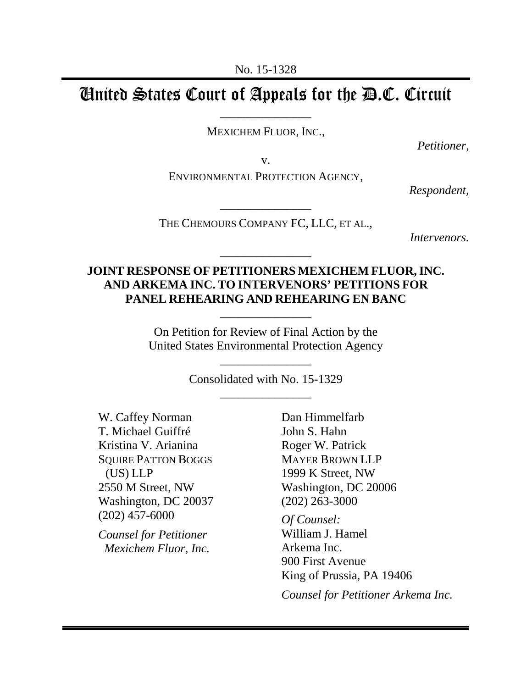No. 15-1328

# United States Court of Appeals for the D.C. Circuit

MEXICHEM FLUOR, INC.,

\_\_\_\_\_\_\_\_\_\_\_\_\_\_\_

*Petitioner*,

v.

ENVIRONMENTAL PROTECTION AGENCY,

*Respondent,*

THE CHEMOURS COMPANY FC, LLC, ET AL.,

\_\_\_\_\_\_\_\_\_\_\_\_\_\_\_

\_\_\_\_\_\_\_\_\_\_\_\_\_\_\_

*Intervenors.*

## **JOINT RESPONSE OF PETITIONERS MEXICHEM FLUOR,INC. AND ARKEMA INC. TO INTERVENORS' PETITIONS FOR PANEL REHEARING AND REHEARING EN BANC**

On Petition for Review of Final Action by the United States Environmental Protection Agency

\_\_\_\_\_\_\_\_\_\_\_\_\_\_\_

Consolidated with No. 15-1329 \_\_\_\_\_\_\_\_\_\_\_\_\_\_\_

\_\_\_\_\_\_\_\_\_\_\_\_\_\_\_

W. Caffey Norman T. Michael Guiffré Kristina V. Arianina SQUIRE PATTON BOGGS (US) LLP 2550 M Street, NW Washington, DC 20037 (202) 457-6000

*Counsel for Petitioner Mexichem Fluor, Inc.*

Dan Himmelfarb John S. Hahn Roger W. Patrick MAYER BROWN LLP 1999 K Street, NW Washington, DC 20006 (202) 263-3000

*Of Counsel:* William J. Hamel Arkema Inc. 900 First Avenue King of Prussia, PA 19406 *Counsel for Petitioner Arkema Inc.*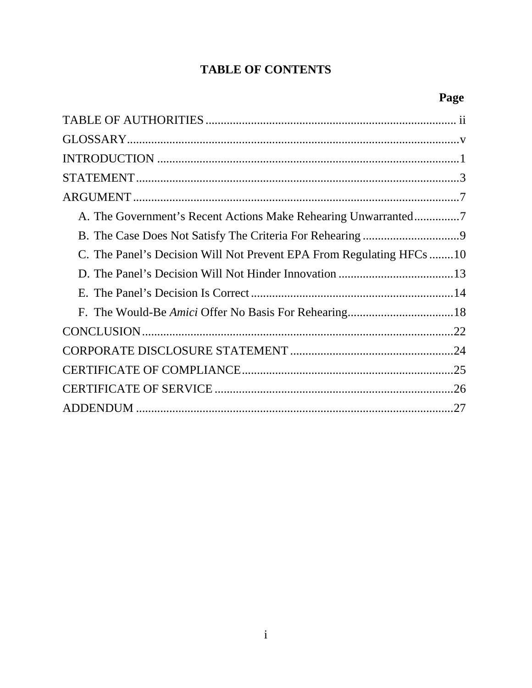## **TABLE OF CONTENTS**

| A. The Government's Recent Actions Make Rehearing Unwarranted7       |  |
|----------------------------------------------------------------------|--|
|                                                                      |  |
| C. The Panel's Decision Will Not Prevent EPA From Regulating HFCs 10 |  |
|                                                                      |  |
|                                                                      |  |
|                                                                      |  |
|                                                                      |  |
|                                                                      |  |
|                                                                      |  |
|                                                                      |  |
|                                                                      |  |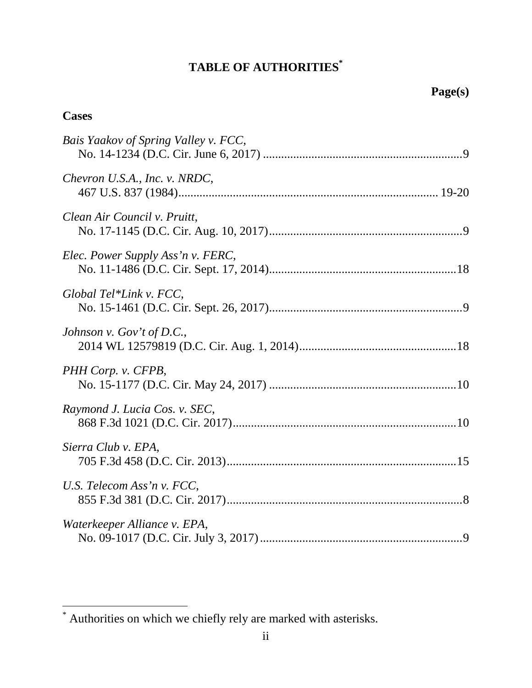## <span id="page-2-0"></span>**TABLE OF AUTHORITIES[\\*](#page-2-1)**

## **Cases**

| Bais Yaakov of Spring Valley v. FCC, |
|--------------------------------------|
| Chevron U.S.A., Inc. v. NRDC,        |
| Clean Air Council v. Pruitt,         |
| Elec. Power Supply Ass'n v. FERC,    |
| Global Tel*Link v. FCC,              |
| Johnson v. Gov't of D.C.,            |
| PHH Corp. v. CFPB,                   |
| Raymond J. Lucia Cos. v. SEC,        |
| Sierra Club v. EPA,                  |
| U.S. Telecom Ass'n v. FCC,           |
| Waterkeeper Alliance v. EPA,         |

<span id="page-2-1"></span><sup>\*</sup> Authorities on which we chiefly rely are marked with asterisks.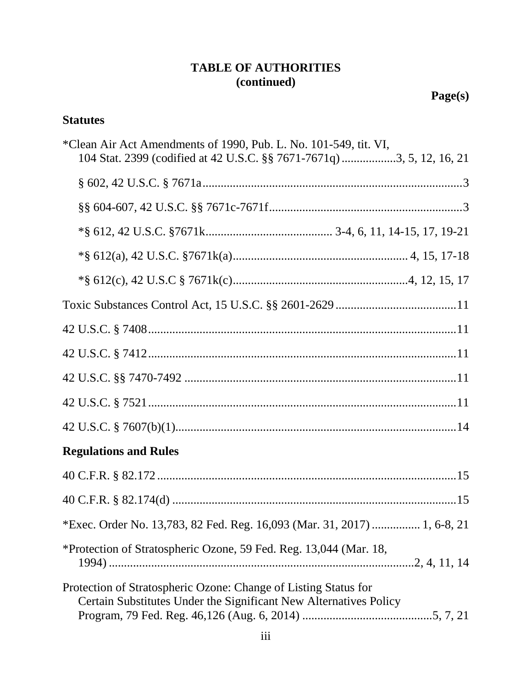## **TABLE OF AUTHORITIES (continued)**

## **Statutes**

| *Clean Air Act Amendments of 1990, Pub. L. No. 101-549, tit. VI,<br>104 Stat. 2399 (codified at 42 U.S.C. §§ 7671-7671q) 3, 5, 12, 16, 21 |
|-------------------------------------------------------------------------------------------------------------------------------------------|
|                                                                                                                                           |
|                                                                                                                                           |
|                                                                                                                                           |
|                                                                                                                                           |
|                                                                                                                                           |
|                                                                                                                                           |
|                                                                                                                                           |
|                                                                                                                                           |
|                                                                                                                                           |
|                                                                                                                                           |
|                                                                                                                                           |
| <b>Regulations and Rules</b>                                                                                                              |
|                                                                                                                                           |
|                                                                                                                                           |
| *Exec. Order No. 13,783, 82 Fed. Reg. 16,093 (Mar. 31, 2017)  1, 6-8, 21                                                                  |
| *Protection of Stratospheric Ozone, 59 Fed. Reg. 13,044 (Mar. 18,                                                                         |
| Protection of Stratospheric Ozone: Change of Listing Status for<br>Certain Substitutes Under the Significant New Alternatives Policy      |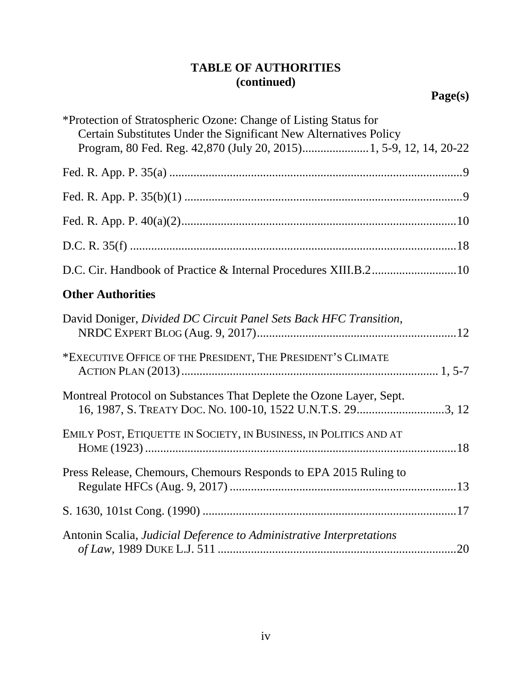## **TABLE OF AUTHORITIES (continued)**

| *Protection of Stratospheric Ozone: Change of Listing Status for<br>Certain Substitutes Under the Significant New Alternatives Policy |  |
|---------------------------------------------------------------------------------------------------------------------------------------|--|
|                                                                                                                                       |  |
|                                                                                                                                       |  |
|                                                                                                                                       |  |
|                                                                                                                                       |  |
| D.C. Cir. Handbook of Practice & Internal Procedures XIII.B.210                                                                       |  |
| <b>Other Authorities</b>                                                                                                              |  |
| David Doniger, Divided DC Circuit Panel Sets Back HFC Transition,                                                                     |  |
| *EXECUTIVE OFFICE OF THE PRESIDENT, THE PRESIDENT'S CLIMATE                                                                           |  |
| Montreal Protocol on Substances That Deplete the Ozone Layer, Sept.<br>16, 1987, S. TREATY DOC. No. 100-10, 1522 U.N.T.S. 293, 12     |  |
| EMILY POST, ETIQUETTE IN SOCIETY, IN BUSINESS, IN POLITICS AND AT                                                                     |  |
| Press Release, Chemours, Chemours Responds to EPA 2015 Ruling to                                                                      |  |
|                                                                                                                                       |  |
| Antonin Scalia, Judicial Deference to Administrative Interpretations                                                                  |  |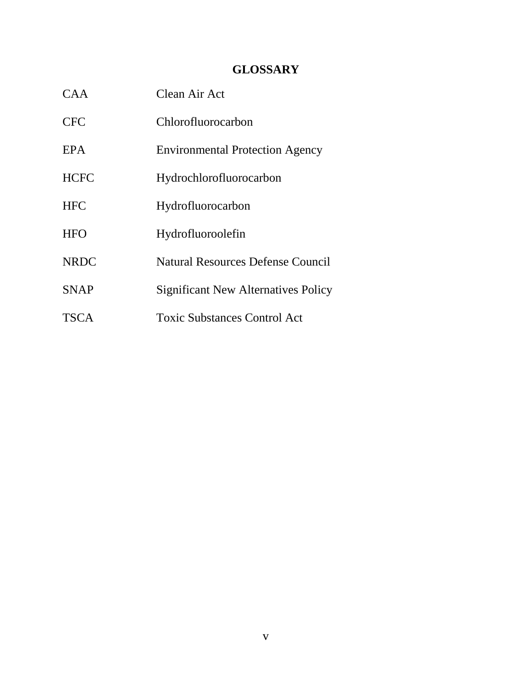## <span id="page-5-0"></span>**GLOSSARY**

| CAA         | Clean Air Act                              |
|-------------|--------------------------------------------|
| <b>CFC</b>  | Chlorofluorocarbon                         |
| EPA         | <b>Environmental Protection Agency</b>     |
| <b>HCFC</b> | Hydrochlorofluorocarbon                    |
| <b>HFC</b>  | Hydrofluorocarbon                          |
| <b>HFO</b>  | Hydrofluoroolefin                          |
| <b>NRDC</b> | <b>Natural Resources Defense Council</b>   |
| <b>SNAP</b> | <b>Significant New Alternatives Policy</b> |
| <b>TSCA</b> | <b>Toxic Substances Control Act</b>        |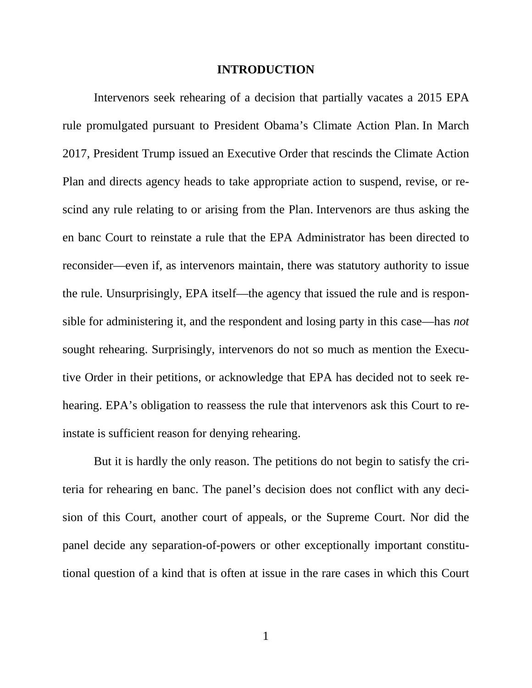#### <span id="page-6-0"></span>**INTRODUCTION**

Intervenors seek rehearing of a decision that partially vacates a 2015 EPA rule promulgated pursuant to President Obama's Climate Action Plan. In March 2017, President Trump issued an Executive Order that rescinds the Climate Action Plan and directs agency heads to take appropriate action to suspend, revise, or rescind any rule relating to or arising from the Plan. Intervenors are thus asking the en banc Court to reinstate a rule that the EPA Administrator has been directed to reconsider—even if, as intervenors maintain, there was statutory authority to issue the rule. Unsurprisingly, EPA itself—the agency that issued the rule and is responsible for administering it, and the respondent and losing party in this case—has *not* sought rehearing. Surprisingly, intervenors do not so much as mention the Executive Order in their petitions, or acknowledge that EPA has decided not to seek rehearing. EPA's obligation to reassess the rule that intervenors ask this Court to reinstate is sufficient reason for denying rehearing.

But it is hardly the only reason. The petitions do not begin to satisfy the criteria for rehearing en banc. The panel's decision does not conflict with any decision of this Court, another court of appeals, or the Supreme Court. Nor did the panel decide any separation-of-powers or other exceptionally important constitutional question of a kind that is often at issue in the rare cases in which this Court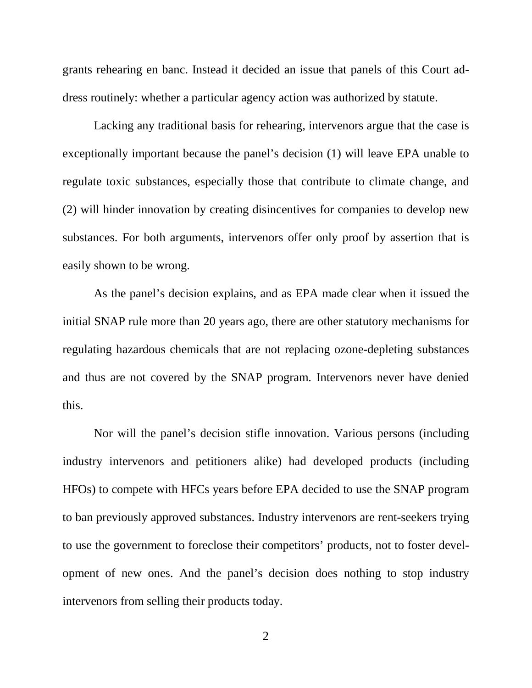grants rehearing en banc. Instead it decided an issue that panels of this Court address routinely: whether a particular agency action was authorized by statute.

Lacking any traditional basis for rehearing, intervenors argue that the case is exceptionally important because the panel's decision (1) will leave EPA unable to regulate toxic substances, especially those that contribute to climate change, and (2) will hinder innovation by creating disincentives for companies to develop new substances. For both arguments, intervenors offer only proof by assertion that is easily shown to be wrong.

As the panel's decision explains, and as EPA made clear when it issued the initial SNAP rule more than 20 years ago, there are other statutory mechanisms for regulating hazardous chemicals that are not replacing ozone-depleting substances and thus are not covered by the SNAP program. Intervenors never have denied this.

Nor will the panel's decision stifle innovation. Various persons (including industry intervenors and petitioners alike) had developed products (including HFOs) to compete with HFCs years before EPA decided to use the SNAP program to ban previously approved substances. Industry intervenors are rent-seekers trying to use the government to foreclose their competitors' products, not to foster development of new ones. And the panel's decision does nothing to stop industry intervenors from selling their products today.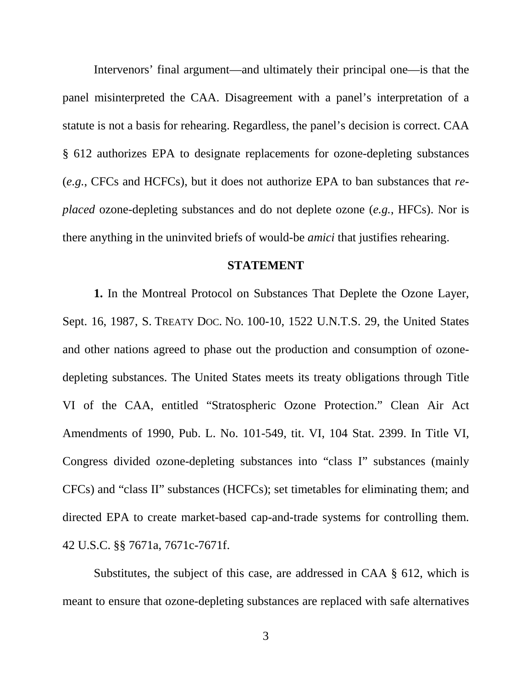Intervenors' final argument—and ultimately their principal one—is that the panel misinterpreted the CAA. Disagreement with a panel's interpretation of a statute is not a basis for rehearing. Regardless, the panel's decision is correct. CAA § 612 authorizes EPA to designate replacements for ozone-depleting substances (*e.g.*, CFCs and HCFCs), but it does not authorize EPA to ban substances that *replaced* ozone-depleting substances and do not deplete ozone (*e.g.*, HFCs). Nor is there anything in the uninvited briefs of would-be *amici* that justifies rehearing.

#### <span id="page-8-0"></span>**STATEMENT**

**1.** In the Montreal Protocol on Substances That Deplete the Ozone Layer, Sept. 16, 1987, S. TREATY DOC. NO. 100-10, 1522 U.N.T.S. 29, the United States and other nations agreed to phase out the production and consumption of ozonedepleting substances. The United States meets its treaty obligations through Title VI of the CAA, entitled "Stratospheric Ozone Protection." Clean Air Act Amendments of 1990, Pub. L. No. 101-549, tit. VI, 104 Stat. 2399. In Title VI, Congress divided ozone-depleting substances into "class I" substances (mainly CFCs) and "class II" substances (HCFCs); set timetables for eliminating them; and directed EPA to create market-based cap-and-trade systems for controlling them. 42 U.S.C. §§ 7671a, 7671c-7671f.

Substitutes, the subject of this case, are addressed in CAA § 612, which is meant to ensure that ozone-depleting substances are replaced with safe alternatives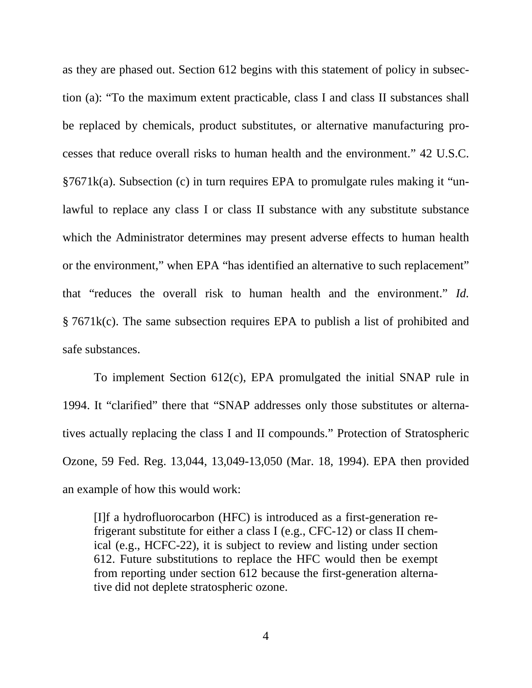as they are phased out. Section 612 begins with this statement of policy in subsection (a): "To the maximum extent practicable, class I and class II substances shall be replaced by chemicals, product substitutes, or alternative manufacturing processes that reduce overall risks to human health and the environment." 42 U.S.C. §7671k(a). Subsection (c) in turn requires EPA to promulgate rules making it "unlawful to replace any class I or class II substance with any substitute substance which the Administrator determines may present adverse effects to human health or the environment," when EPA "has identified an alternative to such replacement" that "reduces the overall risk to human health and the environment." *Id.* § 7671k(c). The same subsection requires EPA to publish a list of prohibited and safe substances.

To implement Section 612(c), EPA promulgated the initial SNAP rule in 1994. It "clarified" there that "SNAP addresses only those substitutes or alternatives actually replacing the class I and II compounds." Protection of Stratospheric Ozone, 59 Fed. Reg. 13,044, 13,049-13,050 (Mar. 18, 1994). EPA then provided an example of how this would work:

[I]f a hydrofluorocarbon (HFC) is introduced as a first-generation refrigerant substitute for either a class I (e.g., CFC-12) or class II chemical (e.g., HCFC-22), it is subject to review and listing under section 612. Future substitutions to replace the HFC would then be exempt from reporting under section 612 because the first-generation alternative did not deplete stratospheric ozone.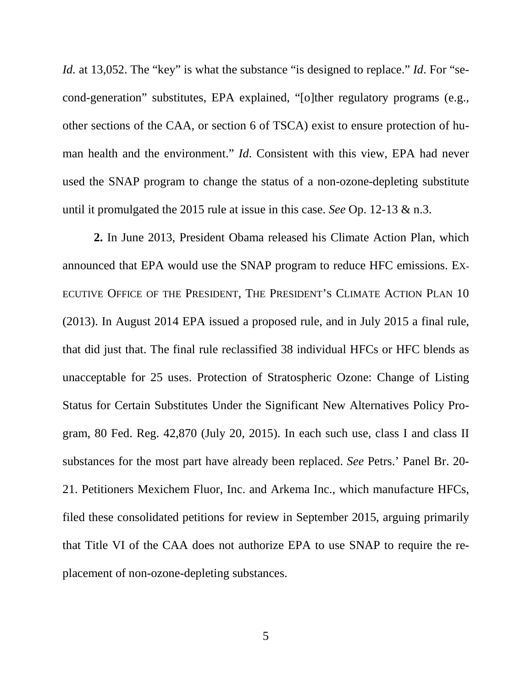*Id.* at 13,052. The "key" is what the substance "is designed to replace." *Id*. For "second-generation" substitutes, EPA explained, "[o]ther regulatory programs (e.g., other sections of the CAA, or section 6 of TSCA) exist to ensure protection of human health and the environment." *Id*. Consistent with this view, EPA had never used the SNAP program to change the status of a non-ozone-depleting substitute until it promulgated the 2015 rule at issue in this case. *See* Op. 12-13 & n.3.

**2.** In June 2013, President Obama released his Climate Action Plan, which announced that EPA would use the SNAP program to reduce HFC emissions. EX-ECUTIVE OFFICE OF THE PRESIDENT, THE PRESIDENT'S CLIMATE ACTION PLAN 10 (2013). In August 2014 EPA issued a proposed rule, and in July 2015 a final rule, that did just that. The final rule reclassified 38 individual HFCs or HFC blends as unacceptable for 25 uses. Protection of Stratospheric Ozone: Change of Listing Status for Certain Substitutes Under the Significant New Alternatives Policy Program, 80 Fed. Reg. 42,870 (July 20, 2015). In each such use, class I and class II substances for the most part have already been replaced. *See* Petrs.' Panel Br. 20- 21. Petitioners Mexichem Fluor, Inc. and Arkema Inc., which manufacture HFCs, filed these consolidated petitions for review in September 2015, arguing primarily that Title VI of the CAA does not authorize EPA to use SNAP to require the replacement of non-ozone-depleting substances.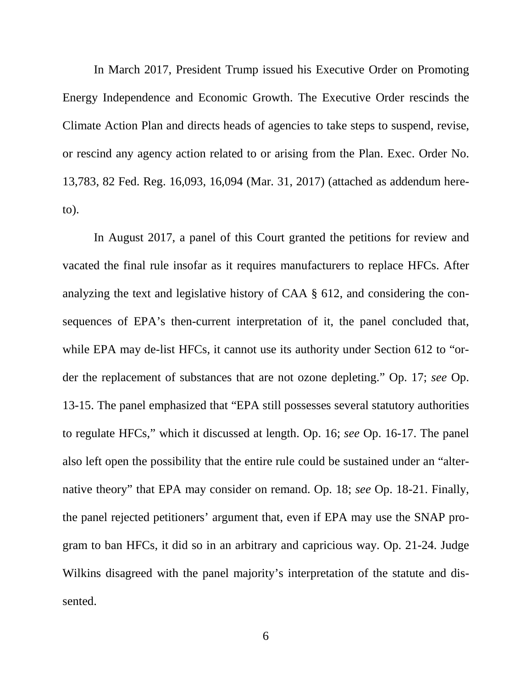In March 2017, President Trump issued his Executive Order on Promoting Energy Independence and Economic Growth. The Executive Order rescinds the Climate Action Plan and directs heads of agencies to take steps to suspend, revise, or rescind any agency action related to or arising from the Plan. Exec. Order No. 13,783, 82 Fed. Reg. 16,093, 16,094 (Mar. 31, 2017) (attached as addendum hereto).

In August 2017, a panel of this Court granted the petitions for review and vacated the final rule insofar as it requires manufacturers to replace HFCs. After analyzing the text and legislative history of CAA § 612, and considering the consequences of EPA's then-current interpretation of it, the panel concluded that, while EPA may de-list HFCs, it cannot use its authority under Section 612 to "order the replacement of substances that are not ozone depleting." Op. 17; *see* Op. 13-15. The panel emphasized that "EPA still possesses several statutory authorities to regulate HFCs," which it discussed at length. Op. 16; *see* Op. 16-17. The panel also left open the possibility that the entire rule could be sustained under an "alternative theory" that EPA may consider on remand. Op. 18; *see* Op. 18-21. Finally, the panel rejected petitioners' argument that, even if EPA may use the SNAP program to ban HFCs, it did so in an arbitrary and capricious way. Op. 21-24. Judge Wilkins disagreed with the panel majority's interpretation of the statute and dissented.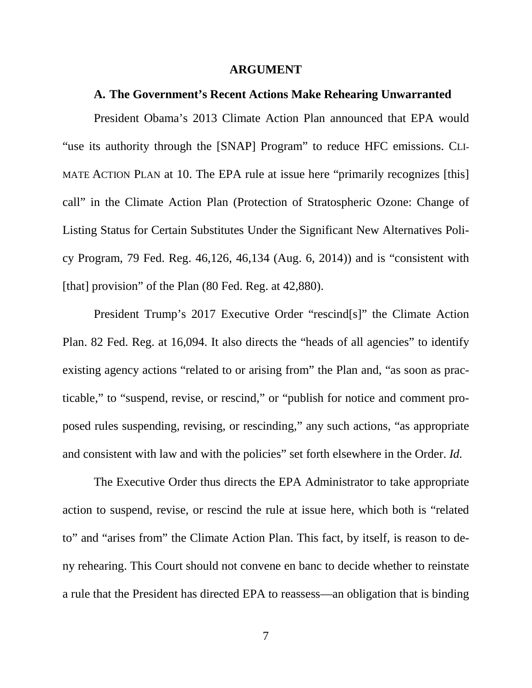#### <span id="page-12-0"></span>**ARGUMENT**

#### <span id="page-12-1"></span>**A. The Government's Recent Actions Make Rehearing Unwarranted**

President Obama's 2013 Climate Action Plan announced that EPA would "use its authority through the [SNAP] Program" to reduce HFC emissions. CLI-MATE ACTION PLAN at 10. The EPA rule at issue here "primarily recognizes [this] call" in the Climate Action Plan (Protection of Stratospheric Ozone: Change of Listing Status for Certain Substitutes Under the Significant New Alternatives Policy Program, 79 Fed. Reg. 46,126, 46,134 (Aug. 6, 2014)) and is "consistent with [that] provision" of the Plan (80 Fed. Reg. at 42,880).

President Trump's 2017 Executive Order "rescind[s]" the Climate Action Plan. 82 Fed. Reg. at 16,094. It also directs the "heads of all agencies" to identify existing agency actions "related to or arising from" the Plan and, "as soon as practicable," to "suspend, revise, or rescind," or "publish for notice and comment proposed rules suspending, revising, or rescinding," any such actions, "as appropriate and consistent with law and with the policies" set forth elsewhere in the Order. *Id.*

The Executive Order thus directs the EPA Administrator to take appropriate action to suspend, revise, or rescind the rule at issue here, which both is "related to" and "arises from" the Climate Action Plan. This fact, by itself, is reason to deny rehearing. This Court should not convene en banc to decide whether to reinstate a rule that the President has directed EPA to reassess—an obligation that is binding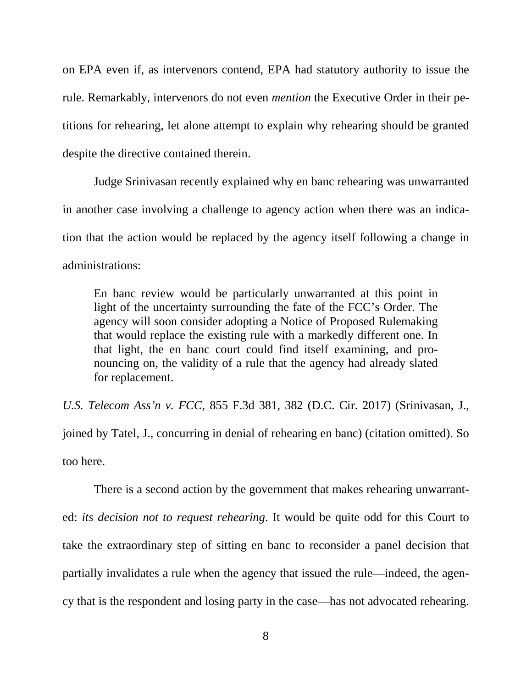on EPA even if, as intervenors contend, EPA had statutory authority to issue the rule. Remarkably, intervenors do not even *mention* the Executive Order in their petitions for rehearing, let alone attempt to explain why rehearing should be granted despite the directive contained therein.

Judge Srinivasan recently explained why en banc rehearing was unwarranted in another case involving a challenge to agency action when there was an indication that the action would be replaced by the agency itself following a change in administrations:

En banc review would be particularly unwarranted at this point in light of the uncertainty surrounding the fate of the FCC's Order. The agency will soon consider adopting a Notice of Proposed Rulemaking that would replace the existing rule with a markedly different one. In that light, the en banc court could find itself examining, and pronouncing on, the validity of a rule that the agency had already slated for replacement.

*U.S. Telecom Ass'n v. FCC*, 855 F.3d 381, 382 (D.C. Cir. 2017) (Srinivasan, J., joined by Tatel, J., concurring in denial of rehearing en banc) (citation omitted). So too here.

There is a second action by the government that makes rehearing unwarranted: *its decision not to request rehearing*. It would be quite odd for this Court to take the extraordinary step of sitting en banc to reconsider a panel decision that partially invalidates a rule when the agency that issued the rule—indeed, the agency that is the respondent and losing party in the case—has not advocated rehearing.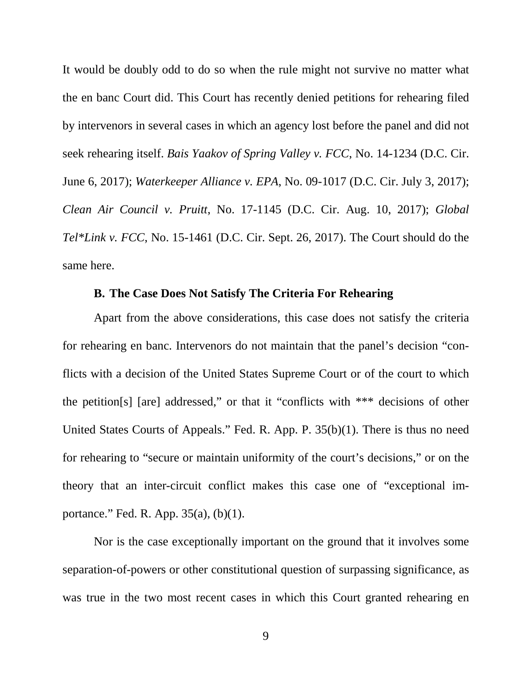It would be doubly odd to do so when the rule might not survive no matter what the en banc Court did. This Court has recently denied petitions for rehearing filed by intervenors in several cases in which an agency lost before the panel and did not seek rehearing itself. *Bais Yaakov of Spring Valley v. FCC*, No. 14-1234 (D.C. Cir. June 6, 2017); *Waterkeeper Alliance v. EPA*, No. 09-1017 (D.C. Cir. July 3, 2017); *Clean Air Council v. Pruitt*, No. 17-1145 (D.C. Cir. Aug. 10, 2017); *Global Tel\*Link v. FCC*, No. 15-1461 (D.C. Cir. Sept. 26, 2017). The Court should do the same here.

### <span id="page-14-0"></span>**B. The Case Does Not Satisfy The Criteria For Rehearing**

Apart from the above considerations, this case does not satisfy the criteria for rehearing en banc. Intervenors do not maintain that the panel's decision "conflicts with a decision of the United States Supreme Court or of the court to which the petition[s] [are] addressed," or that it "conflicts with \*\*\* decisions of other United States Courts of Appeals." Fed. R. App. P. 35(b)(1). There is thus no need for rehearing to "secure or maintain uniformity of the court's decisions," or on the theory that an inter-circuit conflict makes this case one of "exceptional importance." Fed. R. App. 35(a), (b)(1).

Nor is the case exceptionally important on the ground that it involves some separation-of-powers or other constitutional question of surpassing significance, as was true in the two most recent cases in which this Court granted rehearing en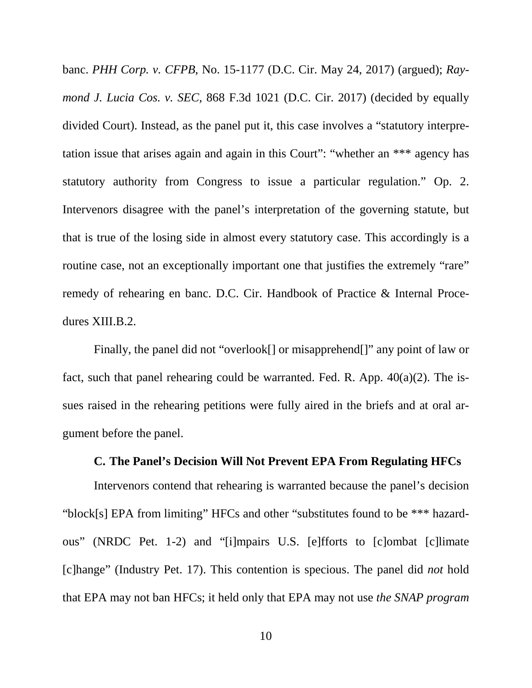banc. *PHH Corp. v. CFPB*, No. 15-1177 (D.C. Cir. May 24, 2017) (argued); *Raymond J. Lucia Cos. v. SEC,* 868 F.3d 1021 (D.C. Cir. 2017) (decided by equally divided Court). Instead, as the panel put it, this case involves a "statutory interpretation issue that arises again and again in this Court": "whether an \*\*\* agency has statutory authority from Congress to issue a particular regulation." Op. 2. Intervenors disagree with the panel's interpretation of the governing statute, but that is true of the losing side in almost every statutory case. This accordingly is a routine case, not an exceptionally important one that justifies the extremely "rare" remedy of rehearing en banc. D.C. Cir. Handbook of Practice & Internal Procedures XIII.B.2.

Finally, the panel did not "overlook<sup>[]</sup> or misapprehend<sup>[]"</sup> any point of law or fact, such that panel rehearing could be warranted. Fed. R. App.  $40(a)(2)$ . The issues raised in the rehearing petitions were fully aired in the briefs and at oral argument before the panel.

#### <span id="page-15-0"></span>**C. The Panel's Decision Will Not Prevent EPA From Regulating HFCs**

Intervenors contend that rehearing is warranted because the panel's decision "block[s] EPA from limiting" HFCs and other "substitutes found to be \*\*\* hazardous" (NRDC Pet. 1-2) and "[i]mpairs U.S. [e]fforts to [c]ombat [c]limate [c]hange" (Industry Pet. 17). This contention is specious. The panel did *not* hold that EPA may not ban HFCs; it held only that EPA may not use *the SNAP program*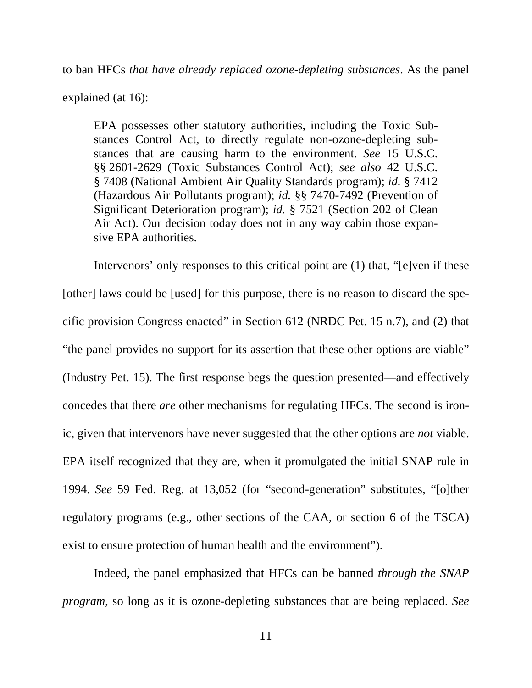to ban HFCs *that have already replaced ozone-depleting substances*. As the panel

explained (at 16):

EPA possesses other statutory authorities, including the Toxic Substances Control Act, to directly regulate non-ozone-depleting substances that are causing harm to the environment. *See* 15 U.S.C. §§ 2601-2629 (Toxic Substances Control Act); *see also* 42 U.S.C. § 7408 (National Ambient Air Quality Standards program); *id.* § 7412 (Hazardous Air Pollutants program); *id.* §§ 7470-7492 (Prevention of Significant Deterioration program); *id.* § 7521 (Section 202 of Clean Air Act). Our decision today does not in any way cabin those expansive EPA authorities.

Intervenors' only responses to this critical point are (1) that, "[e]ven if these [other] laws could be [used] for this purpose, there is no reason to discard the specific provision Congress enacted" in Section 612 (NRDC Pet. 15 n.7), and (2) that "the panel provides no support for its assertion that these other options are viable" (Industry Pet. 15). The first response begs the question presented—and effectively concedes that there *are* other mechanisms for regulating HFCs. The second is ironic, given that intervenors have never suggested that the other options are *not* viable. EPA itself recognized that they are, when it promulgated the initial SNAP rule in 1994. *See* 59 Fed. Reg. at 13,052 (for "second-generation" substitutes, "[o]ther regulatory programs (e.g., other sections of the CAA, or section 6 of the TSCA) exist to ensure protection of human health and the environment").

Indeed, the panel emphasized that HFCs can be banned *through the SNAP program*, so long as it is ozone-depleting substances that are being replaced. *See*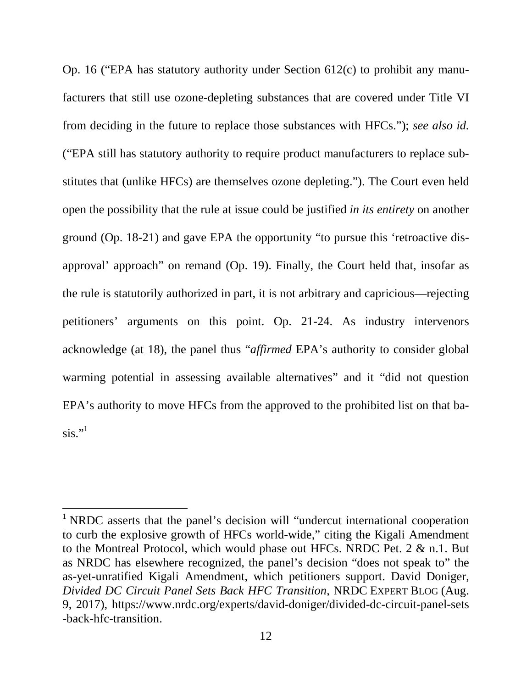Op. 16 ("EPA has statutory authority under Section 612(c) to prohibit any manufacturers that still use ozone-depleting substances that are covered under Title VI from deciding in the future to replace those substances with HFCs."); *see also id.* ("EPA still has statutory authority to require product manufacturers to replace substitutes that (unlike HFCs) are themselves ozone depleting."). The Court even held open the possibility that the rule at issue could be justified *in its entirety* on another ground (Op. 18-21) and gave EPA the opportunity "to pursue this 'retroactive disapproval' approach" on remand (Op. 19). Finally, the Court held that, insofar as the rule is statutorily authorized in part, it is not arbitrary and capricious—rejecting petitioners' arguments on this point. Op. 21-24. As industry intervenors acknowledge (at 18), the panel thus "*affirmed* EPA's authority to consider global warming potential in assessing available alternatives" and it "did not question EPA's authority to move HFCs from the approved to the prohibited list on that ba $sis.$ "

<span id="page-17-0"></span><sup>&</sup>lt;sup>1</sup> NRDC asserts that the panel's decision will "undercut international cooperation to curb the explosive growth of HFCs world-wide," citing the Kigali Amendment to the Montreal Protocol, which would phase out HFCs. NRDC Pet. 2 & n.1. But as NRDC has elsewhere recognized, the panel's decision "does not speak to" the as-yet-unratified Kigali Amendment, which petitioners support. David Doniger, *Divided DC Circuit Panel Sets Back HFC Transition*, NRDC EXPERT BLOG (Aug. 9, 2017), https://www.nrdc.org/experts/david-doniger/divided-dc-circuit-panel-sets -back-hfc-transition.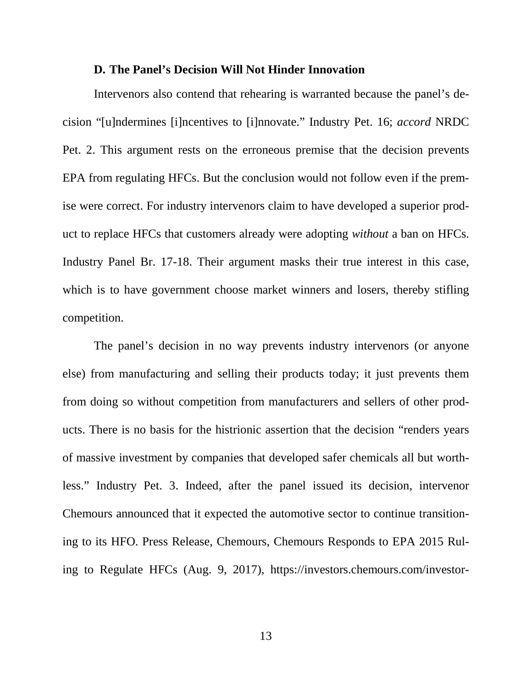#### <span id="page-18-0"></span>**D. The Panel's Decision Will Not Hinder Innovation**

Intervenors also contend that rehearing is warranted because the panel's decision "[u]ndermines [i]ncentives to [i]nnovate." Industry Pet. 16; *accord* NRDC Pet. 2. This argument rests on the erroneous premise that the decision prevents EPA from regulating HFCs. But the conclusion would not follow even if the premise were correct. For industry intervenors claim to have developed a superior product to replace HFCs that customers already were adopting *without* a ban on HFCs. Industry Panel Br. 17-18. Their argument masks their true interest in this case, which is to have government choose market winners and losers, thereby stifling competition.

The panel's decision in no way prevents industry intervenors (or anyone else) from manufacturing and selling their products today; it just prevents them from doing so without competition from manufacturers and sellers of other products. There is no basis for the histrionic assertion that the decision "renders years of massive investment by companies that developed safer chemicals all but worthless." Industry Pet. 3. Indeed, after the panel issued its decision, intervenor Chemours announced that it expected the automotive sector to continue transitioning to its HFO. Press Release, Chemours, Chemours Responds to EPA 2015 Ruling to Regulate HFCs (Aug. 9, 2017), [https://investors.chemours.com/investor-](https://investors.chemours.com/investor-relations/investor-news/press-release-details/2017/Chemours-Responds-to-EPA-2015-Ruling-to-Regulate-HFCs/ default.aspx)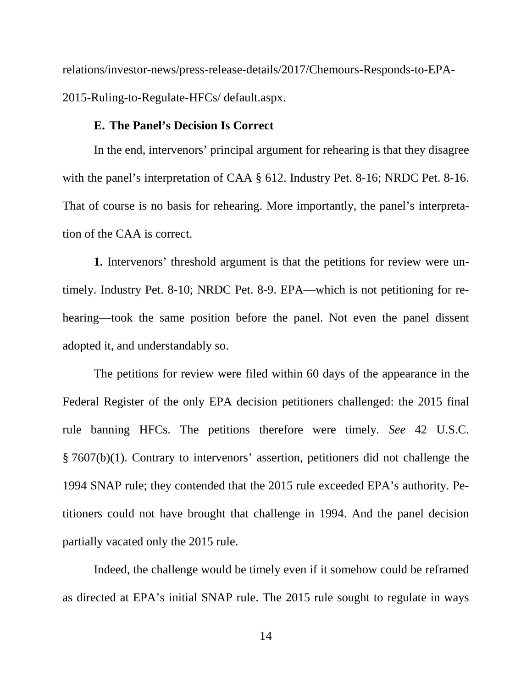[relations/investor-news/press-release-details/2017/Chemours-Responds-to-EPA-](https://investors.chemours.com/investor-relations/investor-news/press-release-details/2017/Chemours-Responds-to-EPA-2015-Ruling-to-Regulate-HFCs/ default.aspx)[2015-Ruling-to-Regulate-HFCs/ default.aspx.](https://investors.chemours.com/investor-relations/investor-news/press-release-details/2017/Chemours-Responds-to-EPA-2015-Ruling-to-Regulate-HFCs/ default.aspx)

#### <span id="page-19-0"></span>**E. The Panel's Decision Is Correct**

In the end, intervenors' principal argument for rehearing is that they disagree with the panel's interpretation of CAA § 612. Industry Pet. 8-16; NRDC Pet. 8-16. That of course is no basis for rehearing. More importantly, the panel's interpretation of the CAA is correct.

**1.** Intervenors' threshold argument is that the petitions for review were untimely. Industry Pet. 8-10; NRDC Pet. 8-9. EPA—which is not petitioning for rehearing—took the same position before the panel. Not even the panel dissent adopted it, and understandably so.

The petitions for review were filed within 60 days of the appearance in the Federal Register of the only EPA decision petitioners challenged: the 2015 final rule banning HFCs. The petitions therefore were timely. *See* 42 U.S.C. § 7607(b)(1). Contrary to intervenors' assertion, petitioners did not challenge the 1994 SNAP rule; they contended that the 2015 rule exceeded EPA's authority. Petitioners could not have brought that challenge in 1994. And the panel decision partially vacated only the 2015 rule.

Indeed, the challenge would be timely even if it somehow could be reframed as directed at EPA's initial SNAP rule. The 2015 rule sought to regulate in ways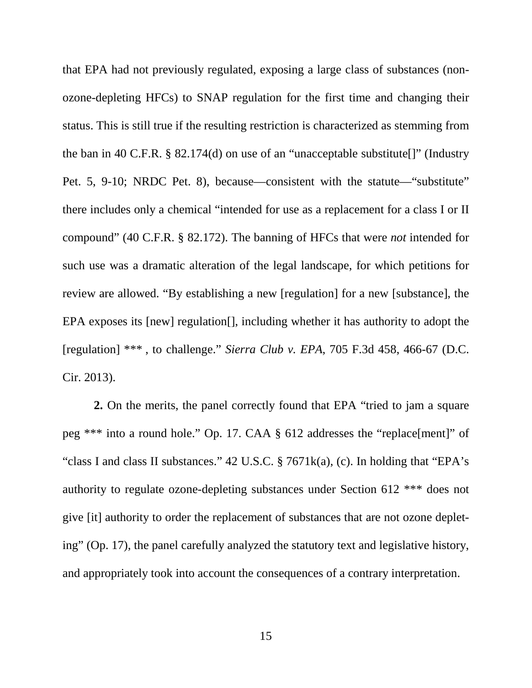that EPA had not previously regulated, exposing a large class of substances (nonozone-depleting HFCs) to SNAP regulation for the first time and changing their status. This is still true if the resulting restriction is characterized as stemming from the ban in 40 C.F.R. § 82.174(d) on use of an "unacceptable substitute[]" (Industry Pet. 5, 9-10; NRDC Pet. 8), because—consistent with the statute—"substitute" there includes only a chemical "intended for use as a replacement for a class I or II compound" (40 C.F.R. § 82.172). The banning of HFCs that were *not* intended for such use was a dramatic alteration of the legal landscape, for which petitions for review are allowed. "By establishing a new [regulation] for a new [substance], the EPA exposes its [new] regulation[], including whether it has authority to adopt the [regulation] \*\*\* , to challenge." *Sierra Club v. EPA*, 705 F.3d 458, 466-67 (D.C. Cir. 2013).

**2.** On the merits, the panel correctly found that EPA "tried to jam a square peg \*\*\* into a round hole." Op. 17. CAA § 612 addresses the "replace[ment]" of "class I and class II substances." 42 U.S.C. § 7671k(a), (c). In holding that "EPA's authority to regulate ozone-depleting substances under Section 612 \*\*\* does not give [it] authority to order the replacement of substances that are not ozone depleting" (Op. 17), the panel carefully analyzed the statutory text and legislative history, and appropriately took into account the consequences of a contrary interpretation.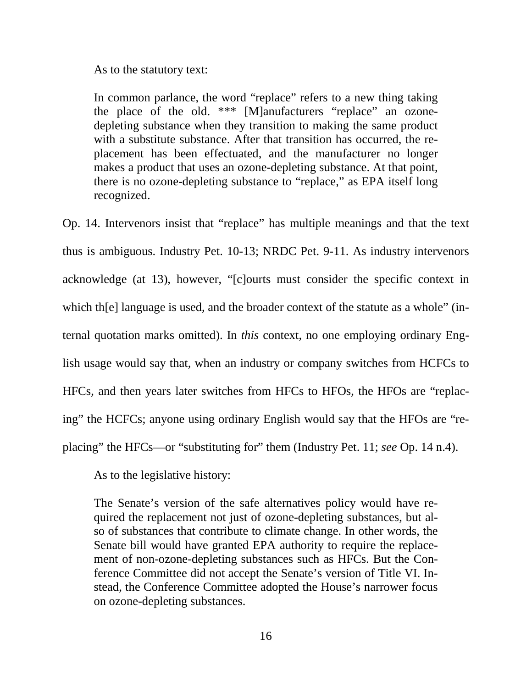As to the statutory text:

In common parlance, the word "replace" refers to a new thing taking the place of the old. \*\*\* [M]anufacturers "replace" an ozonedepleting substance when they transition to making the same product with a substitute substance. After that transition has occurred, the replacement has been effectuated, and the manufacturer no longer makes a product that uses an ozone-depleting substance. At that point, there is no ozone-depleting substance to "replace," as EPA itself long recognized.

Op. 14. Intervenors insist that "replace" has multiple meanings and that the text thus is ambiguous. Industry Pet. 10-13; NRDC Pet. 9-11. As industry intervenors acknowledge (at 13), however, "[c]ourts must consider the specific context in which th[e] language is used, and the broader context of the statute as a whole" (internal quotation marks omitted). In *this* context, no one employing ordinary English usage would say that, when an industry or company switches from HCFCs to HFCs, and then years later switches from HFCs to HFOs, the HFOs are "replacing" the HCFCs; anyone using ordinary English would say that the HFOs are "replacing" the HFCs—or "substituting for" them (Industry Pet. 11; *see* Op. 14 n.4).

As to the legislative history:

The Senate's version of the safe alternatives policy would have required the replacement not just of ozone-depleting substances, but also of substances that contribute to climate change. In other words, the Senate bill would have granted EPA authority to require the replacement of non-ozone-depleting substances such as HFCs. But the Conference Committee did not accept the Senate's version of Title VI. Instead, the Conference Committee adopted the House's narrower focus on ozone-depleting substances.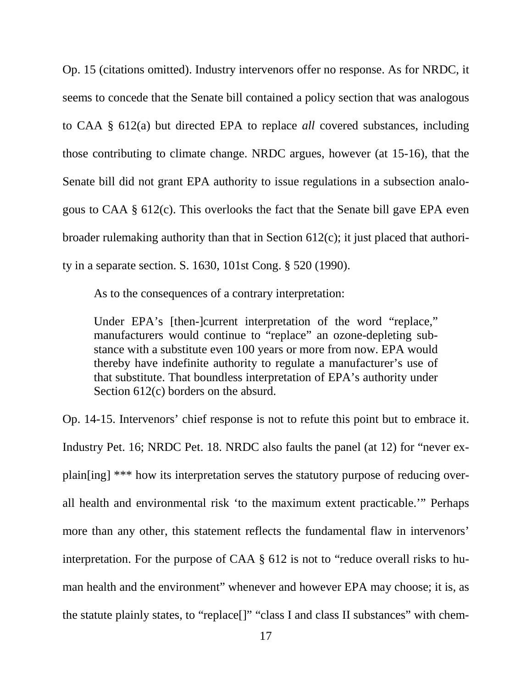Op. 15 (citations omitted). Industry intervenors offer no response. As for NRDC, it seems to concede that the Senate bill contained a policy section that was analogous to CAA § 612(a) but directed EPA to replace *all* covered substances, including those contributing to climate change. NRDC argues, however (at 15-16), that the Senate bill did not grant EPA authority to issue regulations in a subsection analogous to CAA § 612(c). This overlooks the fact that the Senate bill gave EPA even broader rulemaking authority than that in Section 612(c); it just placed that authority in a separate section. S. 1630, 101st Cong. § 520 (1990).

As to the consequences of a contrary interpretation:

Under EPA's [then-]current interpretation of the word "replace," manufacturers would continue to "replace" an ozone-depleting substance with a substitute even 100 years or more from now. EPA would thereby have indefinite authority to regulate a manufacturer's use of that substitute. That boundless interpretation of EPA's authority under Section 612(c) borders on the absurd.

Op. 14-15. Intervenors' chief response is not to refute this point but to embrace it. Industry Pet. 16; NRDC Pet. 18. NRDC also faults the panel (at 12) for "never explain[ing] \*\*\* how its interpretation serves the statutory purpose of reducing overall health and environmental risk 'to the maximum extent practicable.'" Perhaps more than any other, this statement reflects the fundamental flaw in intervenors' interpretation. For the purpose of CAA § 612 is not to "reduce overall risks to human health and the environment" whenever and however EPA may choose; it is, as the statute plainly states, to "replace[]" "class I and class II substances" with chem-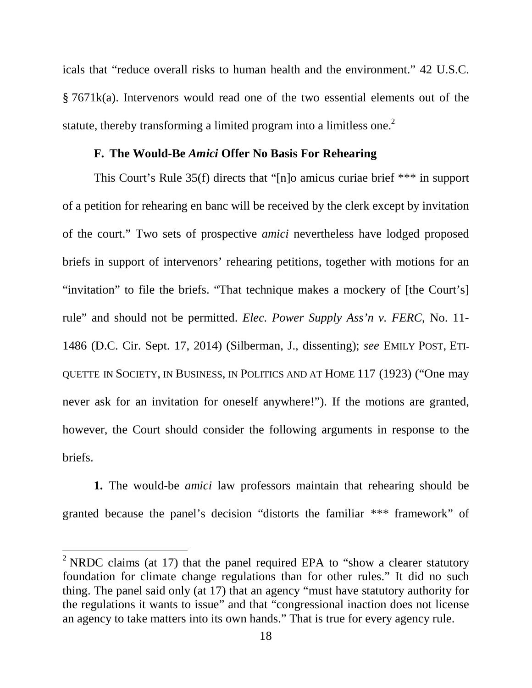icals that "reduce overall risks to human health and the environment." 42 U.S.C. § 7671k(a). Intervenors would read one of the two essential elements out of the statute,thereby transforming a limited program into a limitless one.<sup>2</sup>

#### <span id="page-23-0"></span>**F. The Would-Be** *Amici* **Offer No Basis For Rehearing**

This Court's Rule 35(f) directs that "[n]o amicus curiae brief \*\*\* in support of a petition for rehearing en banc will be received by the clerk except by invitation of the court." Two sets of prospective *amici* nevertheless have lodged proposed briefs in support of intervenors' rehearing petitions, together with motions for an "invitation" to file the briefs. "That technique makes a mockery of [the Court's] rule" and should not be permitted. *Elec. Power Supply Ass'n v. FERC*, No. 11- 1486 (D.C. Cir. Sept. 17, 2014) (Silberman, J., dissenting); *see* EMILY POST, ETI-QUETTE IN SOCIETY, IN BUSINESS, IN POLITICS AND AT HOME 117 (1923) ("One may never ask for an invitation for oneself anywhere!"). If the motions are granted, however, the Court should consider the following arguments in response to the briefs.

**1.** The would-be *amici* law professors maintain that rehearing should be granted because the panel's decision "distorts the familiar *\*\*\** framework" of

<span id="page-23-1"></span> $2$  NRDC claims (at 17) that the panel required EPA to "show a clearer statutory foundation for climate change regulations than for other rules." It did no such thing. The panel said only (at 17) that an agency "must have statutory authority for the regulations it wants to issue" and that "congressional inaction does not license an agency to take matters into its own hands." That is true for every agency rule.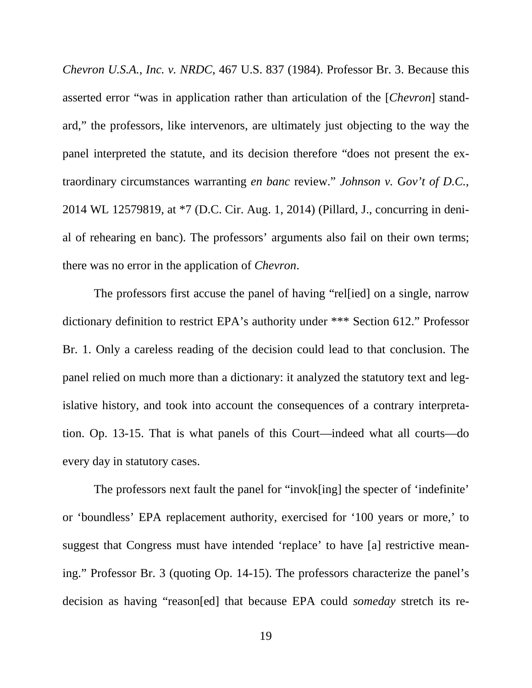*Chevron U.S.A., Inc. v. NRDC*, 467 U.S. 837 (1984). Professor Br. 3. Because this asserted error "was in application rather than articulation of the [*Chevron*] standard," the professors, like intervenors, are ultimately just objecting to the way the panel interpreted the statute, and its decision therefore "does not present the extraordinary circumstances warranting *en banc* review." *Johnson v. Gov't of D.C.*, 2014 WL 12579819, at \*7 (D.C. Cir. Aug. 1, 2014) (Pillard, J., concurring in denial of rehearing en banc). The professors' arguments also fail on their own terms; there was no error in the application of *Chevron*.

The professors first accuse the panel of having "rel[ied] on a single, narrow dictionary definition to restrict EPA's authority under \*\*\* Section 612." Professor Br. 1. Only a careless reading of the decision could lead to that conclusion. The panel relied on much more than a dictionary: it analyzed the statutory text and legislative history, and took into account the consequences of a contrary interpretation. Op. 13-15. That is what panels of this Court—indeed what all courts—do every day in statutory cases.

The professors next fault the panel for "invok[ing] the specter of 'indefinite' or 'boundless' EPA replacement authority, exercised for '100 years or more,' to suggest that Congress must have intended 'replace' to have [a] restrictive meaning." Professor Br. 3 (quoting Op. 14-15). The professors characterize the panel's decision as having "reason[ed] that because EPA could *someday* stretch its re-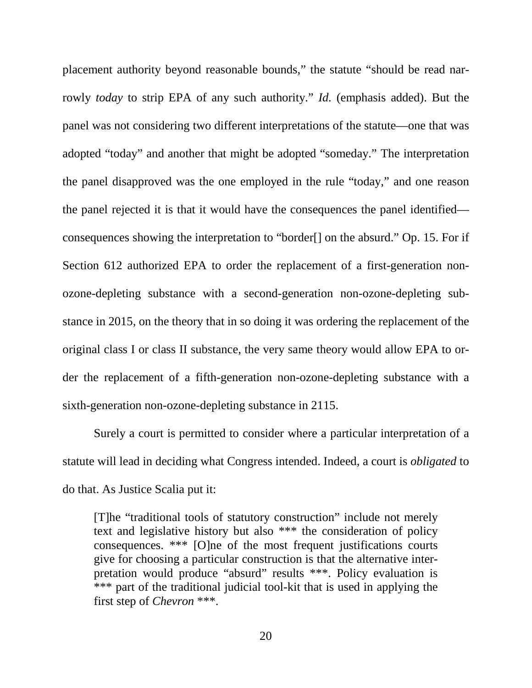placement authority beyond reasonable bounds," the statute "should be read narrowly *today* to strip EPA of any such authority." *Id.* (emphasis added). But the panel was not considering two different interpretations of the statute—one that was adopted "today" and another that might be adopted "someday." The interpretation the panel disapproved was the one employed in the rule "today," and one reason the panel rejected it is that it would have the consequences the panel identified consequences showing the interpretation to "border[] on the absurd." Op. 15. For if Section 612 authorized EPA to order the replacement of a first-generation nonozone-depleting substance with a second-generation non-ozone-depleting substance in 2015, on the theory that in so doing it was ordering the replacement of the original class I or class II substance, the very same theory would allow EPA to order the replacement of a fifth-generation non-ozone-depleting substance with a sixth-generation non-ozone-depleting substance in 2115.

Surely a court is permitted to consider where a particular interpretation of a statute will lead in deciding what Congress intended. Indeed, a court is *obligated* to do that. As Justice Scalia put it:

[T]he "traditional tools of statutory construction" include not merely text and legislative history but also \*\*\* the consideration of policy consequences. \*\*\* [O]ne of the most frequent justifications courts give for choosing a particular construction is that the alternative interpretation would produce "absurd" results \*\*\*. Policy evaluation is \*\*\* part of the traditional judicial tool-kit that is used in applying the first step of *Chevron* \*\*\*.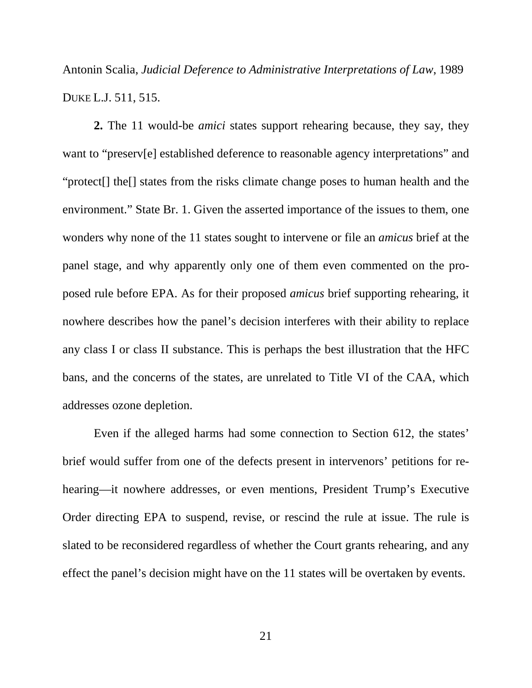Antonin Scalia, *Judicial Deference to Administrative Interpretations of Law*, 1989 DUKE L.J. 511, 515.

**2.** The 11 would-be *amici* states support rehearing because, they say, they want to "preserv[e] established deference to reasonable agency interpretations" and "protect[] the[] states from the risks climate change poses to human health and the environment." State Br. 1. Given the asserted importance of the issues to them, one wonders why none of the 11 states sought to intervene or file an *amicus* brief at the panel stage, and why apparently only one of them even commented on the proposed rule before EPA. As for their proposed *amicus* brief supporting rehearing, it nowhere describes how the panel's decision interferes with their ability to replace any class I or class II substance. This is perhaps the best illustration that the HFC bans, and the concerns of the states, are unrelated to Title VI of the CAA, which addresses ozone depletion.

Even if the alleged harms had some connection to Section 612, the states' brief would suffer from one of the defects present in intervenors' petitions for rehearing—it nowhere addresses, or even mentions, President Trump's Executive Order directing EPA to suspend, revise, or rescind the rule at issue. The rule is slated to be reconsidered regardless of whether the Court grants rehearing, and any effect the panel's decision might have on the 11 states will be overtaken by events.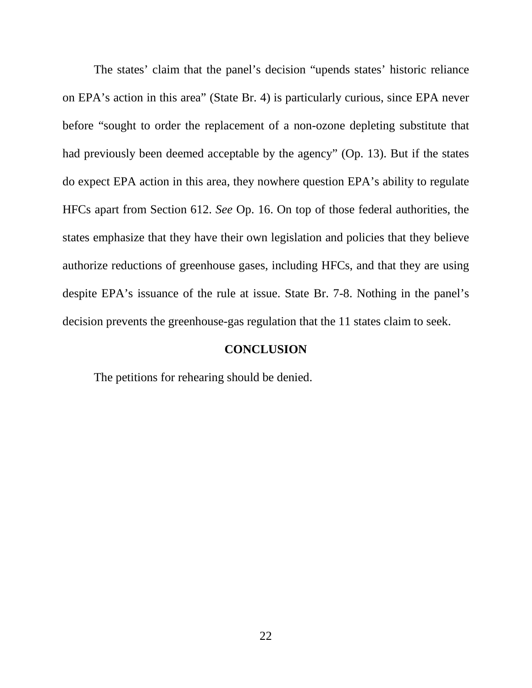The states' claim that the panel's decision "upends states' historic reliance on EPA's action in this area" (State Br. 4) is particularly curious, since EPA never before "sought to order the replacement of a non-ozone depleting substitute that had previously been deemed acceptable by the agency" (Op. 13). But if the states do expect EPA action in this area, they nowhere question EPA's ability to regulate HFCs apart from Section 612. *See* Op. 16. On top of those federal authorities, the states emphasize that they have their own legislation and policies that they believe authorize reductions of greenhouse gases, including HFCs, and that they are using despite EPA's issuance of the rule at issue. State Br. 7-8. Nothing in the panel's decision prevents the greenhouse-gas regulation that the 11 states claim to seek.

#### <span id="page-27-0"></span>**CONCLUSION**

The petitions for rehearing should be denied.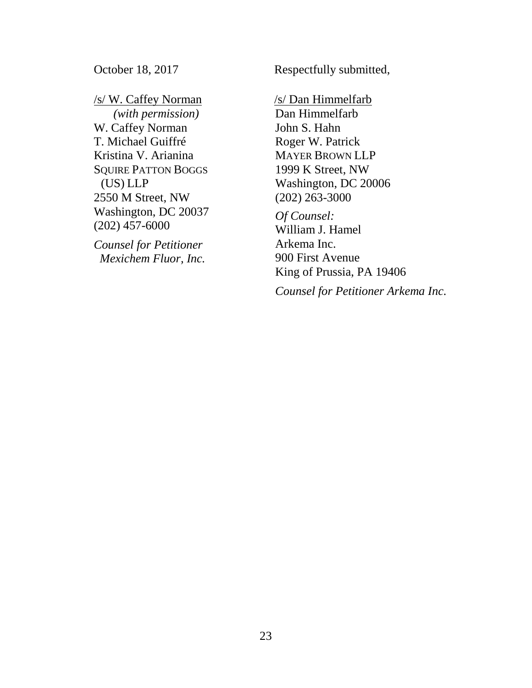/s/ W. Caffey Norman /s/ Dan Himmelfarb *(with permission)* W. Caffey Norman T. Michael Guiffré Kristina V. Arianina SQUIRE PATTON BOGGS (US) LLP 2550 M Street, NW Washington, DC 20037 (202) 457-6000

*Counsel for Petitioner Mexichem Fluor, Inc.*

October 18, 2017 Respectfully submitted,

Dan Himmelfarb John S. Hahn Roger W. Patrick MAYER BROWN LLP 1999 K Street, NW Washington, DC 20006 (202) 263-3000

*Of Counsel:* William J. Hamel Arkema Inc. 900 First Avenue King of Prussia, PA 19406

*Counsel for Petitioner Arkema Inc.*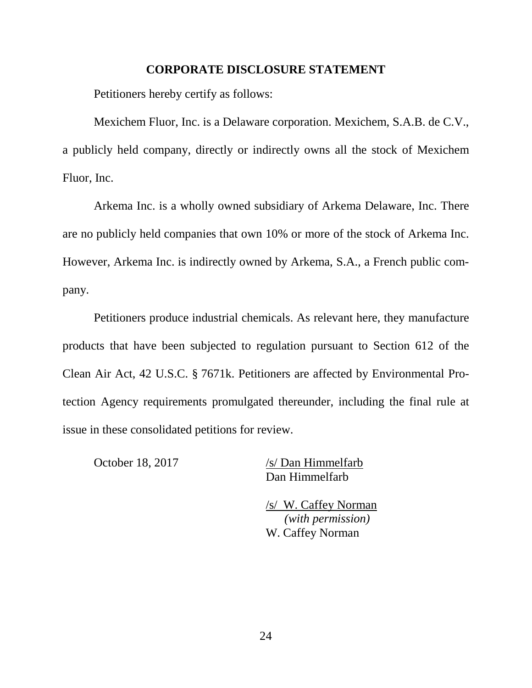#### <span id="page-29-0"></span>**CORPORATE DISCLOSURE STATEMENT**

Petitioners hereby certify as follows:

Mexichem Fluor, Inc. is a Delaware corporation. Mexichem, S.A.B. de C.V., a publicly held company, directly or indirectly owns all the stock of Mexichem Fluor, Inc.

Arkema Inc. is a wholly owned subsidiary of Arkema Delaware, Inc. There are no publicly held companies that own 10% or more of the stock of Arkema Inc. However, Arkema Inc. is indirectly owned by Arkema, S.A., a French public company.

Petitioners produce industrial chemicals. As relevant here, they manufacture products that have been subjected to regulation pursuant to Section 612 of the Clean Air Act, 42 U.S.C. § 7671k. Petitioners are affected by Environmental Protection Agency requirements promulgated thereunder, including the final rule at issue in these consolidated petitions for review.

October 18, 2017 /s/ Dan Himmelfarb Dan Himmelfarb

> /s/ W. Caffey Norman *(with permission)* W. Caffey Norman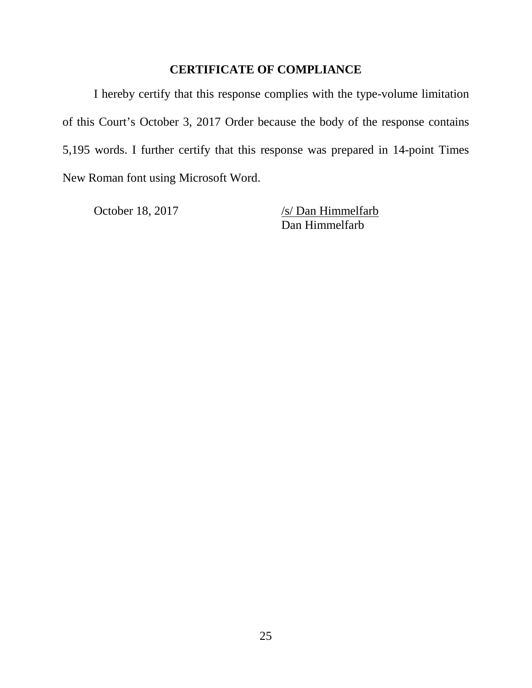## <span id="page-30-0"></span>**CERTIFICATE OF COMPLIANCE**

I hereby certify that this response complies with the type-volume limitation of this Court's October 3, 2017 Order because the body of the response contains 5,195 words. I further certify that this response was prepared in 14-point Times New Roman font using Microsoft Word.

October 18, 2017 /s/ Dan Himmelfarb Dan Himmelfarb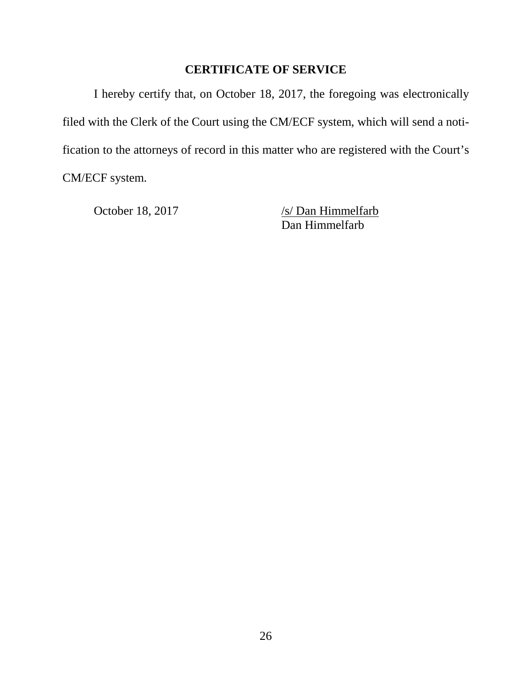## <span id="page-31-0"></span>**CERTIFICATE OF SERVICE**

I hereby certify that, on October 18, 2017, the foregoing was electronically filed with the Clerk of the Court using the CM/ECF system, which will send a notification to the attorneys of record in this matter who are registered with the Court's CM/ECF system.

October 18, 2017 /s/ Dan Himmelfarb Dan Himmelfarb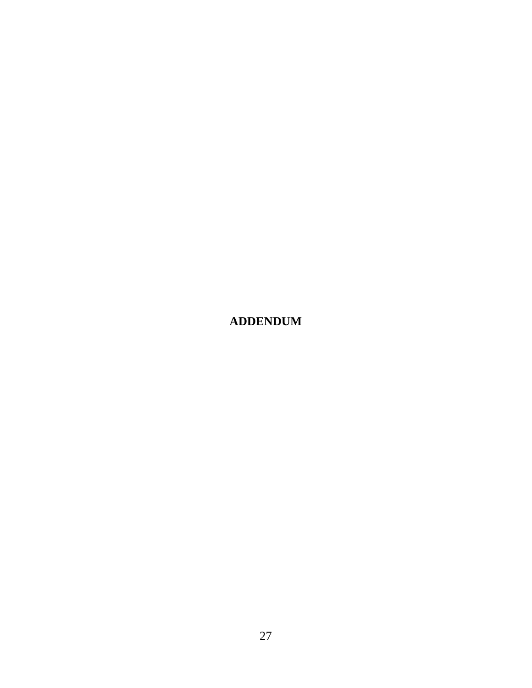<span id="page-32-0"></span>**ADDENDUM**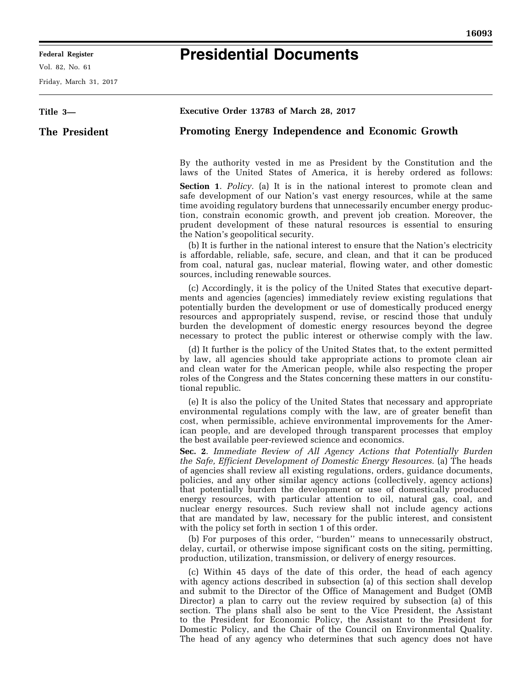# **Presidential Documents**

Ξ

Vol. 82, No. 61

Friday, March 31, 2017

| Title 3-      | Executive Order 13783 of March 28, 2017                                                                                                                                                                                                                                                                                                                                                                                                                                                                                                                                                                                                                                                             |
|---------------|-----------------------------------------------------------------------------------------------------------------------------------------------------------------------------------------------------------------------------------------------------------------------------------------------------------------------------------------------------------------------------------------------------------------------------------------------------------------------------------------------------------------------------------------------------------------------------------------------------------------------------------------------------------------------------------------------------|
| The President | Promoting Energy Independence and Economic Growth                                                                                                                                                                                                                                                                                                                                                                                                                                                                                                                                                                                                                                                   |
|               |                                                                                                                                                                                                                                                                                                                                                                                                                                                                                                                                                                                                                                                                                                     |
|               | By the authority vested in me as President by the Constitution and the<br>laws of the United States of America, it is hereby ordered as follows:                                                                                                                                                                                                                                                                                                                                                                                                                                                                                                                                                    |
|               | <b>Section 1.</b> Policy. (a) It is in the national interest to promote clean and<br>safe development of our Nation's vast energy resources, while at the same<br>time avoiding regulatory burdens that unnecessarily encumber energy produc-<br>tion, constrain economic growth, and prevent job creation. Moreover, the<br>prudent development of these natural resources is essential to ensuring<br>the Nation's geopolitical security.                                                                                                                                                                                                                                                         |
|               | (b) It is further in the national interest to ensure that the Nation's electricity<br>is affordable, reliable, safe, secure, and clean, and that it can be produced<br>from coal, natural gas, nuclear material, flowing water, and other domestic<br>sources, including renewable sources.                                                                                                                                                                                                                                                                                                                                                                                                         |
|               | (c) Accordingly, it is the policy of the United States that executive depart-<br>ments and agencies (agencies) immediately review existing regulations that<br>potentially burden the development or use of domestically produced energy<br>resources and appropriately suspend, revise, or rescind those that unduly<br>burden the development of domestic energy resources beyond the degree<br>necessary to protect the public interest or otherwise comply with the law.                                                                                                                                                                                                                        |
|               | (d) It further is the policy of the United States that, to the extent permitted<br>by law, all agencies should take appropriate actions to promote clean air<br>and clean water for the American people, while also respecting the proper<br>roles of the Congress and the States concerning these matters in our constitu-<br>tional republic.                                                                                                                                                                                                                                                                                                                                                     |
|               | (e) It is also the policy of the United States that necessary and appropriate<br>environmental regulations comply with the law, are of greater benefit than<br>cost, when permissible, achieve environmental improvements for the Amer-<br>ican people, and are developed through transparent processes that employ<br>the best available peer-reviewed science and economics.                                                                                                                                                                                                                                                                                                                      |
|               | Sec. 2. Immediate Review of All Agency Actions that Potentially Burden<br>the Safe, Efficient Development of Domestic Energy Resources. (a) The heads<br>of agencies shall review all existing regulations, orders, guidance documents,<br>policies, and any other similar agency actions (collectively, agency actions)<br>that potentially burden the development or use of domestically produced<br>energy resources, with particular attention to oil, natural gas, coal, and<br>nuclear energy resources. Such review shall not include agency actions<br>that are mandated by law, necessary for the public interest, and consistent<br>with the policy set forth in section 1 of this order. |
|               | (b) For purposes of this order, "burden" means to unnecessarily obstruct,<br>delay, curtail, or otherwise impose significant costs on the siting, permitting,<br>production, utilization, transmission, or delivery of energy resources.                                                                                                                                                                                                                                                                                                                                                                                                                                                            |
|               | (c) Within 45 days of the date of this order, the head of each agency<br>with agency actions described in subsection (a) of this section shall develop<br>and submit to the Director of the Office of Management and Budget (OMB<br>Director) a plan to carry out the review required by subsection (a) of this<br>section. The plans shall also be sent to the Vice President, the Assistant<br>to the President for Economic Policy, the Assistant to the President for<br>Domestic Policy, and the Chair of the Council on Environmental Quality.<br>The head of any agency who determines that such agency does not have                                                                        |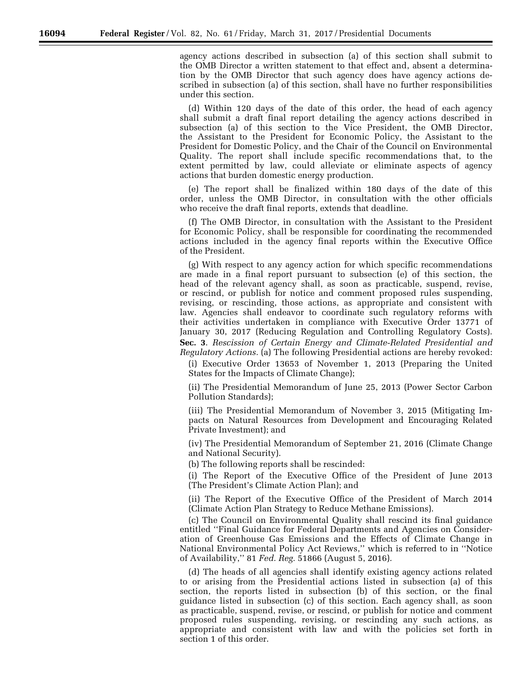agency actions described in subsection (a) of this section shall submit to the OMB Director a written statement to that effect and, absent a determination by the OMB Director that such agency does have agency actions described in subsection (a) of this section, shall have no further responsibilities under this section.

(d) Within 120 days of the date of this order, the head of each agency shall submit a draft final report detailing the agency actions described in subsection (a) of this section to the Vice President, the OMB Director, the Assistant to the President for Economic Policy, the Assistant to the President for Domestic Policy, and the Chair of the Council on Environmental Quality. The report shall include specific recommendations that, to the extent permitted by law, could alleviate or eliminate aspects of agency actions that burden domestic energy production.

(e) The report shall be finalized within 180 days of the date of this order, unless the OMB Director, in consultation with the other officials who receive the draft final reports, extends that deadline.

(f) The OMB Director, in consultation with the Assistant to the President for Economic Policy, shall be responsible for coordinating the recommended actions included in the agency final reports within the Executive Office of the President.

(g) With respect to any agency action for which specific recommendations are made in a final report pursuant to subsection (e) of this section, the head of the relevant agency shall, as soon as practicable, suspend, revise, or rescind, or publish for notice and comment proposed rules suspending, revising, or rescinding, those actions, as appropriate and consistent with law. Agencies shall endeavor to coordinate such regulatory reforms with their activities undertaken in compliance with Executive Order 13771 of January 30, 2017 (Reducing Regulation and Controlling Regulatory Costs). **Sec. 3**. *Rescission of Certain Energy and Climate-Related Presidential and* 

*Regulatory Actions.* (a) The following Presidential actions are hereby revoked:

(i) Executive Order 13653 of November 1, 2013 (Preparing the United States for the Impacts of Climate Change);

(ii) The Presidential Memorandum of June 25, 2013 (Power Sector Carbon Pollution Standards);

(iii) The Presidential Memorandum of November 3, 2015 (Mitigating Impacts on Natural Resources from Development and Encouraging Related Private Investment); and

(iv) The Presidential Memorandum of September 21, 2016 (Climate Change and National Security).

(b) The following reports shall be rescinded:

(i) The Report of the Executive Office of the President of June 2013 (The President's Climate Action Plan); and

(ii) The Report of the Executive Office of the President of March 2014 (Climate Action Plan Strategy to Reduce Methane Emissions).

(c) The Council on Environmental Quality shall rescind its final guidance entitled ''Final Guidance for Federal Departments and Agencies on Consideration of Greenhouse Gas Emissions and the Effects of Climate Change in National Environmental Policy Act Reviews,'' which is referred to in ''Notice of Availability,'' 81 *Fed. Reg.* 51866 (August 5, 2016).

(d) The heads of all agencies shall identify existing agency actions related to or arising from the Presidential actions listed in subsection (a) of this section, the reports listed in subsection (b) of this section, or the final guidance listed in subsection (c) of this section. Each agency shall, as soon as practicable, suspend, revise, or rescind, or publish for notice and comment proposed rules suspending, revising, or rescinding any such actions, as appropriate and consistent with law and with the policies set forth in section 1 of this order.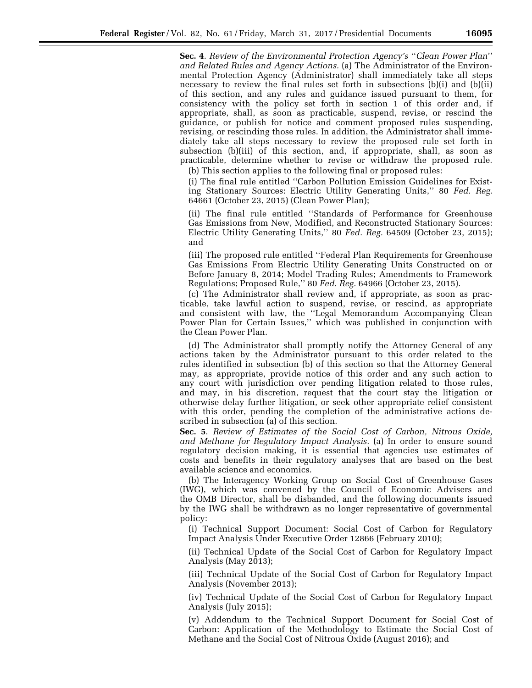**Sec. 4**. *Review of the Environmental Protection Agency's* ''*Clean Power Plan*'' *and Related Rules and Agency Actions.* (a) The Administrator of the Environmental Protection Agency (Administrator) shall immediately take all steps necessary to review the final rules set forth in subsections (b)(i) and (b)(ii) of this section, and any rules and guidance issued pursuant to them, for consistency with the policy set forth in section 1 of this order and, if appropriate, shall, as soon as practicable, suspend, revise, or rescind the guidance, or publish for notice and comment proposed rules suspending, revising, or rescinding those rules. In addition, the Administrator shall immediately take all steps necessary to review the proposed rule set forth in subsection (b)(iii) of this section, and, if appropriate, shall, as soon as practicable, determine whether to revise or withdraw the proposed rule.

(b) This section applies to the following final or proposed rules:

(i) The final rule entitled ''Carbon Pollution Emission Guidelines for Existing Stationary Sources: Electric Utility Generating Units,'' 80 *Fed. Reg.*  64661 (October 23, 2015) (Clean Power Plan);

(ii) The final rule entitled ''Standards of Performance for Greenhouse Gas Emissions from New, Modified, and Reconstructed Stationary Sources: Electric Utility Generating Units,'' 80 *Fed. Reg.* 64509 (October 23, 2015); and

(iii) The proposed rule entitled ''Federal Plan Requirements for Greenhouse Gas Emissions From Electric Utility Generating Units Constructed on or Before January 8, 2014; Model Trading Rules; Amendments to Framework Regulations; Proposed Rule,'' 80 *Fed. Reg.* 64966 (October 23, 2015).

(c) The Administrator shall review and, if appropriate, as soon as practicable, take lawful action to suspend, revise, or rescind, as appropriate and consistent with law, the ''Legal Memorandum Accompanying Clean Power Plan for Certain Issues,'' which was published in conjunction with the Clean Power Plan.

(d) The Administrator shall promptly notify the Attorney General of any actions taken by the Administrator pursuant to this order related to the rules identified in subsection (b) of this section so that the Attorney General may, as appropriate, provide notice of this order and any such action to any court with jurisdiction over pending litigation related to those rules, and may, in his discretion, request that the court stay the litigation or otherwise delay further litigation, or seek other appropriate relief consistent with this order, pending the completion of the administrative actions described in subsection (a) of this section.

**Sec. 5**. *Review of Estimates of the Social Cost of Carbon, Nitrous Oxide, and Methane for Regulatory Impact Analysis.* (a) In order to ensure sound regulatory decision making, it is essential that agencies use estimates of costs and benefits in their regulatory analyses that are based on the best available science and economics.

(b) The Interagency Working Group on Social Cost of Greenhouse Gases (IWG), which was convened by the Council of Economic Advisers and the OMB Director, shall be disbanded, and the following documents issued by the IWG shall be withdrawn as no longer representative of governmental policy:

(i) Technical Support Document: Social Cost of Carbon for Regulatory Impact Analysis Under Executive Order 12866 (February 2010);

(ii) Technical Update of the Social Cost of Carbon for Regulatory Impact Analysis (May 2013);

(iii) Technical Update of the Social Cost of Carbon for Regulatory Impact Analysis (November 2013);

(iv) Technical Update of the Social Cost of Carbon for Regulatory Impact Analysis (July 2015);

(v) Addendum to the Technical Support Document for Social Cost of Carbon: Application of the Methodology to Estimate the Social Cost of Methane and the Social Cost of Nitrous Oxide (August 2016); and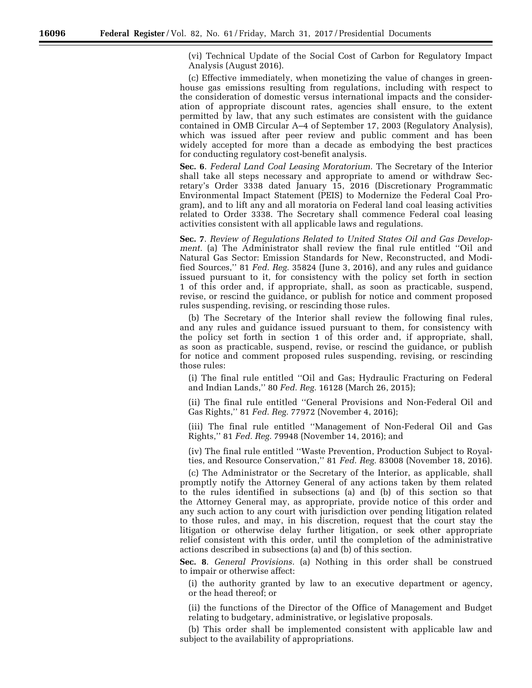(vi) Technical Update of the Social Cost of Carbon for Regulatory Impact Analysis (August 2016).

(c) Effective immediately, when monetizing the value of changes in greenhouse gas emissions resulting from regulations, including with respect to the consideration of domestic versus international impacts and the consideration of appropriate discount rates, agencies shall ensure, to the extent permitted by law, that any such estimates are consistent with the guidance contained in OMB Circular A–4 of September 17, 2003 (Regulatory Analysis), which was issued after peer review and public comment and has been widely accepted for more than a decade as embodying the best practices for conducting regulatory cost-benefit analysis.

**Sec. 6**. *Federal Land Coal Leasing Moratorium.* The Secretary of the Interior shall take all steps necessary and appropriate to amend or withdraw Secretary's Order 3338 dated January 15, 2016 (Discretionary Programmatic Environmental Impact Statement (PEIS) to Modernize the Federal Coal Program), and to lift any and all moratoria on Federal land coal leasing activities related to Order 3338. The Secretary shall commence Federal coal leasing activities consistent with all applicable laws and regulations.

**Sec. 7**. *Review of Regulations Related to United States Oil and Gas Development.* (a) The Administrator shall review the final rule entitled "Oil and Natural Gas Sector: Emission Standards for New, Reconstructed, and Modified Sources,'' 81 *Fed. Reg.* 35824 (June 3, 2016), and any rules and guidance issued pursuant to it, for consistency with the policy set forth in section 1 of this order and, if appropriate, shall, as soon as practicable, suspend, revise, or rescind the guidance, or publish for notice and comment proposed rules suspending, revising, or rescinding those rules.

(b) The Secretary of the Interior shall review the following final rules, and any rules and guidance issued pursuant to them, for consistency with the policy set forth in section 1 of this order and, if appropriate, shall, as soon as practicable, suspend, revise, or rescind the guidance, or publish for notice and comment proposed rules suspending, revising, or rescinding those rules:

(i) The final rule entitled ''Oil and Gas; Hydraulic Fracturing on Federal and Indian Lands,'' 80 *Fed. Reg.* 16128 (March 26, 2015);

(ii) The final rule entitled ''General Provisions and Non-Federal Oil and Gas Rights,'' 81 *Fed. Reg.* 77972 (November 4, 2016);

(iii) The final rule entitled ''Management of Non-Federal Oil and Gas Rights,'' 81 *Fed. Reg.* 79948 (November 14, 2016); and

(iv) The final rule entitled ''Waste Prevention, Production Subject to Royalties, and Resource Conservation,'' 81 *Fed. Reg.* 83008 (November 18, 2016).

(c) The Administrator or the Secretary of the Interior, as applicable, shall promptly notify the Attorney General of any actions taken by them related to the rules identified in subsections (a) and (b) of this section so that the Attorney General may, as appropriate, provide notice of this order and any such action to any court with jurisdiction over pending litigation related to those rules, and may, in his discretion, request that the court stay the litigation or otherwise delay further litigation, or seek other appropriate relief consistent with this order, until the completion of the administrative actions described in subsections (a) and (b) of this section.

**Sec. 8**. *General Provisions.* (a) Nothing in this order shall be construed to impair or otherwise affect:

(i) the authority granted by law to an executive department or agency, or the head thereof; or

(ii) the functions of the Director of the Office of Management and Budget relating to budgetary, administrative, or legislative proposals.

(b) This order shall be implemented consistent with applicable law and subject to the availability of appropriations.